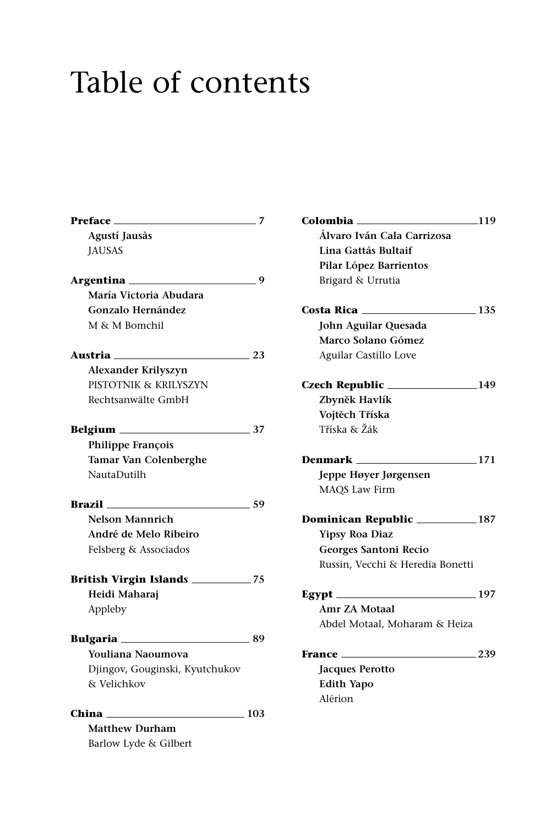## Table of contents

| <b>Preface</b>                 | 7     |
|--------------------------------|-------|
| Agustí Jausàs                  |       |
| <b>JAUSAS</b>                  |       |
|                                |       |
| Argentina                      | 9     |
| María Victoria Abudara         |       |
| Gonzalo Hernández              |       |
| M & M Bomchil                  |       |
| Austria                        | 23    |
| Alexander Krilyszyn            |       |
| PISTOTNIK & KRILYSZYN          |       |
| Rechtsanwälte GmbH             |       |
|                                |       |
|                                | 37    |
| Philippe François              |       |
| Tamar Van Colenberghe          |       |
| NautaDutilh                    |       |
|                                |       |
| Brazil                         | 59    |
| <b>Nelson Mannrich</b>         |       |
| André de Melo Ribeiro          |       |
| Felsberg & Associados          |       |
|                                |       |
| British Virgin Islands ______  | $-75$ |
| Heidi Maharaj                  |       |
| Appleby                        |       |
|                                |       |
| Bulgaria                       | 89    |
| Youliana Naoumova              |       |
| Djingov, Gouginski, Kyutchukov |       |
| & Velichkov                    |       |
|                                |       |
| China                          | 103   |
| <b>Matthew Durham</b>          |       |
| Barlow Lyde & Gilbert          |       |

| Colombia <sub>—</sub>               | $\frac{-119}{2}$ |
|-------------------------------------|------------------|
| Álvaro Iván Cala Carrizosa          |                  |
| Lina Gattás Bultaif                 |                  |
| Pilar López Barrientos              |                  |
| Brigard & Urrutia                   |                  |
| Costa Rica $\frac{135}{2}$          |                  |
| John Aguilar Quesada                |                  |
| Marco Solano Gómez                  |                  |
| Aguilar Castillo Love               |                  |
| $Czech Republic$ $149$              |                  |
| Zbyněk Havlík                       |                  |
| Vojtěch Tříska                      |                  |
| Tříska & Žák                        |                  |
| <b>Denmark</b> 171                  |                  |
| Jeppe Høyer Jørgensen               |                  |
| MAQS Law Firm                       |                  |
| Dominican Republic _____________187 |                  |
| <b>Yipsy Roa Diaz</b>               |                  |
| Georges Santoni Recio               |                  |
| Russin, Vecchi & Heredia Bonetti    |                  |
|                                     |                  |
| Amr ZA Motaal                       |                  |
| Abdel Motaal, Moharam & Heiza       |                  |
| France __                           | .239             |
| <b>Jacques Perotto</b>              |                  |
| <b>Edith Yapo</b>                   |                  |
| Alérion                             |                  |
|                                     |                  |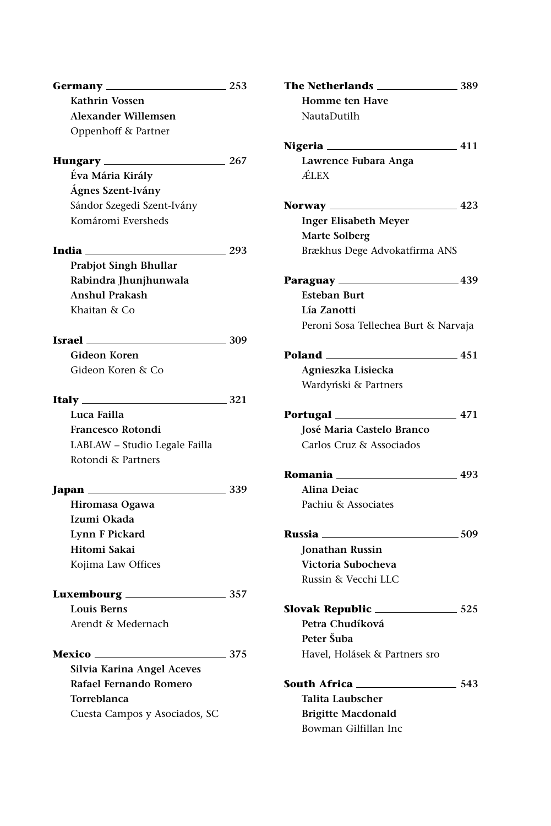| Germany _______                                     | . 253           |
|-----------------------------------------------------|-----------------|
| Kathrin Vossen                                      |                 |
| <b>Alexander Willemsen</b>                          |                 |
| Oppenhoff & Partner                                 |                 |
|                                                     |                 |
| Hungary 267                                         |                 |
| Éva Mária Király                                    |                 |
| Ágnes Szent-Ivány                                   |                 |
| Sándor Szegedi Szent-Ivány                          |                 |
| Komáromi Eversheds                                  |                 |
| $\frac{1}{293}$                                     |                 |
| Prabjot Singh Bhullar                               |                 |
| Rabindra Jhunjhunwala                               |                 |
| <b>Anshul Prakash</b>                               |                 |
| Khaitan & Co                                        |                 |
|                                                     |                 |
| <b>Israel</b> 209                                   |                 |
| Gideon Koren                                        |                 |
| Gideon Koren & Co                                   |                 |
|                                                     |                 |
| Italy $\_\_\_\_\_\_\$                               |                 |
| Luca Failla                                         |                 |
|                                                     |                 |
| <b>Francesco Rotondi</b>                            |                 |
| LABLAW - Studio Legale Failla                       |                 |
| Rotondi & Partners                                  |                 |
|                                                     |                 |
|                                                     |                 |
| Hiromasa Ogawa                                      |                 |
| Izumi Okada                                         |                 |
| <b>Lynn F Pickard</b>                               |                 |
| Hitomi Sakai                                        |                 |
| Kojima Law Offices                                  |                 |
|                                                     |                 |
| <b>Louis Berns</b>                                  |                 |
| Arendt & Medernach                                  |                 |
|                                                     |                 |
|                                                     | $\frac{375}{2}$ |
| Silvia Karina Angel Aceves                          |                 |
| Rafael Fernando Romero                              |                 |
| <b>Torreblanca</b><br>Cuesta Campos y Asociados, SC |                 |

| The Netherlands __                   | 389    |
|--------------------------------------|--------|
| <b>Homme ten Have</b>                |        |
| NautaDutilh                          |        |
| Nigeria <sub>—</sub>                 | $-411$ |
| Lawrence Fubara Anga                 |        |
| ÁLEX                                 |        |
| Norway <sub>—</sub>                  | 423    |
| <b>Inger Elisabeth Meyer</b>         |        |
| <b>Marte Solberg</b>                 |        |
| Brækhus Dege Advokatfirma ANS        |        |
| Paraguay <sub>—</sub>                |        |
| <b>Esteban Burt</b>                  |        |
| Lía Zanotti                          |        |
| Peroni Sosa Tellechea Burt & Narvaja |        |
| Poland<br>$-451$                     |        |
| Agnieszka Lisiecka                   |        |
| Wardyński & Partners                 |        |
| Portugal <sub>—</sub>                | $-471$ |
| José Maria Castelo Branco            |        |
| Carlos Cruz & Associados             |        |
| Romania ___                          | . 493  |
| Alina Deiac                          |        |
| Pachiu & Associates                  |        |
| Russia —                             | — 509  |
| <b>Jonathan Russin</b>               |        |
| Victoria Subocheva                   |        |
| Russin & Vecchi LLC                  |        |
| Slovak Republic _                    | .525   |
| Petra Chudíková                      |        |
| Peter Šuba                           |        |
| Havel, Holásek & Partners sro        |        |
| South Africa ___                     | 543    |
| Talita Laubscher                     |        |
| <b>Brigitte Macdonald</b>            |        |
| Bowman Gilfillan Inc                 |        |